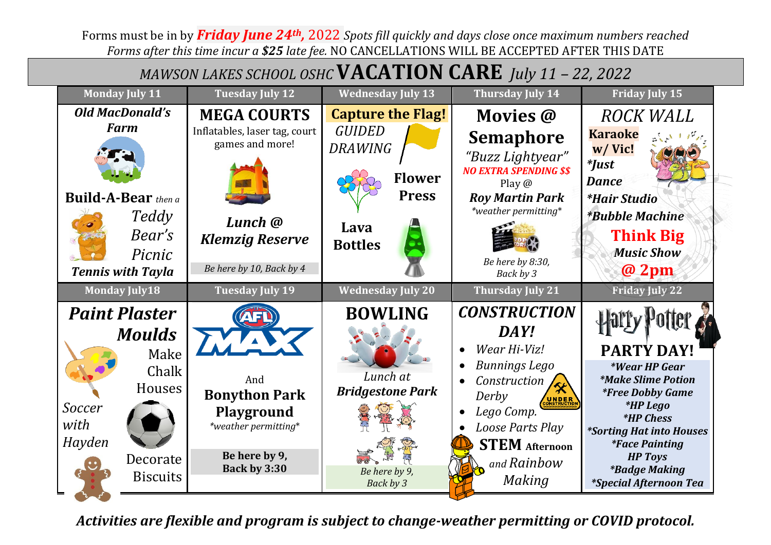Forms must be in by *Friday June 24th ,* 2022 *Spots fill quickly and days close once maximum numbers reached Forms after this time incur a \$25 late fee.* NO CANCELLATIONS WILL BE ACCEPTED AFTER THIS DATE

| MAWSON LAKES SCHOOL OSHC VACATION CARE July 11 - 22, 2022                                                                    |                                                                                                                                         |                                                                                                                        |                                                                                                                                                                                                  |                                                                                                                                                                                                                                                                   |
|------------------------------------------------------------------------------------------------------------------------------|-----------------------------------------------------------------------------------------------------------------------------------------|------------------------------------------------------------------------------------------------------------------------|--------------------------------------------------------------------------------------------------------------------------------------------------------------------------------------------------|-------------------------------------------------------------------------------------------------------------------------------------------------------------------------------------------------------------------------------------------------------------------|
| <b>Monday July 11</b>                                                                                                        | <b>Tuesday July 12</b>                                                                                                                  | <b>Wednesday July 13</b>                                                                                               | <b>Thursday July 14</b>                                                                                                                                                                          | <b>Friday July 15</b>                                                                                                                                                                                                                                             |
| <b>Old MacDonald's</b><br><b>Farm</b><br><b>Build-A-Bear</b> then a<br>Teddy<br>Bear's<br>Picnic<br><b>Tennis with Tayla</b> | <b>MEGA COURTS</b><br>Inflatables, laser tag, court<br>games and more!<br>Lunch @<br><b>Klemzig Reserve</b><br>Be here by 10, Back by 4 | <b>Capture the Flag!</b><br><b>GUIDED</b><br><b>DRAWING</b><br><b>Flower</b><br><b>Press</b><br>Lava<br><b>Bottles</b> | <b>Movies @</b><br><b>Semaphore</b><br>"Buzz Lightyear"<br><b>NO EXTRA SPENDING \$\$</b><br>Play $@$<br><b>Roy Martin Park</b><br>*weather permitting*<br>Be here by 8:30,<br>Back by 3          | <b>ROCK WALL</b><br><b>Karaoke</b><br>w/Vic!<br>*Just<br><b>Dance</b><br><i>*Hair Studio</i><br><i><b>*Bubble Machine</b></i><br><b>Think Big</b><br><b>Music Show</b><br>$@2$ pm                                                                                 |
| <b>Monday July18</b>                                                                                                         | <b>Tuesday July 19</b>                                                                                                                  | <b>Wednesday July 20</b>                                                                                               | <b>Thursday July 21</b>                                                                                                                                                                          | <b>Friday July 22</b>                                                                                                                                                                                                                                             |
| <b>Paint Plaster</b><br><b>Moulds</b><br>Make<br>Chalk<br>Houses<br>Soccer<br>with<br>Hayden<br>Decorate<br><b>Biscuits</b>  | $\sqrt{1}$<br>And<br><b>Bonython Park</b><br><b>Playground</b><br>*weather permitting*<br>Be here by 9,<br>Back by 3:30                 | <b>BOWLING</b><br>Lunch at<br><b>Bridgestone Park</b><br>Be here by 9,<br>Back by 3                                    | <b>CONSTRUCTION</b><br>DAY!<br>Wear Hi-Viz!<br><b>Bunnings Lego</b><br>Construction<br>Derby<br><b>UNDER</b><br>Lego Comp.<br>Loose Parts Play<br><b>STEM</b> Afternoon<br>and Rainbow<br>Making | <b>PARTY DAY!</b><br>*Wear HP Gear<br><i>*Make Slime Potion</i><br><i>*Free Dobby Game</i><br><i>*HP Lego</i><br><i>*HP Chess</i><br>*Sorting Hat into Houses<br><i>*Face Painting</i><br><b>HP</b> Toys<br><i>*Badge Making</i><br><i>*Special Afternoon Tea</i> |

*Activities are flexible and program is subject to change-weather permitting or COVID protocol.*